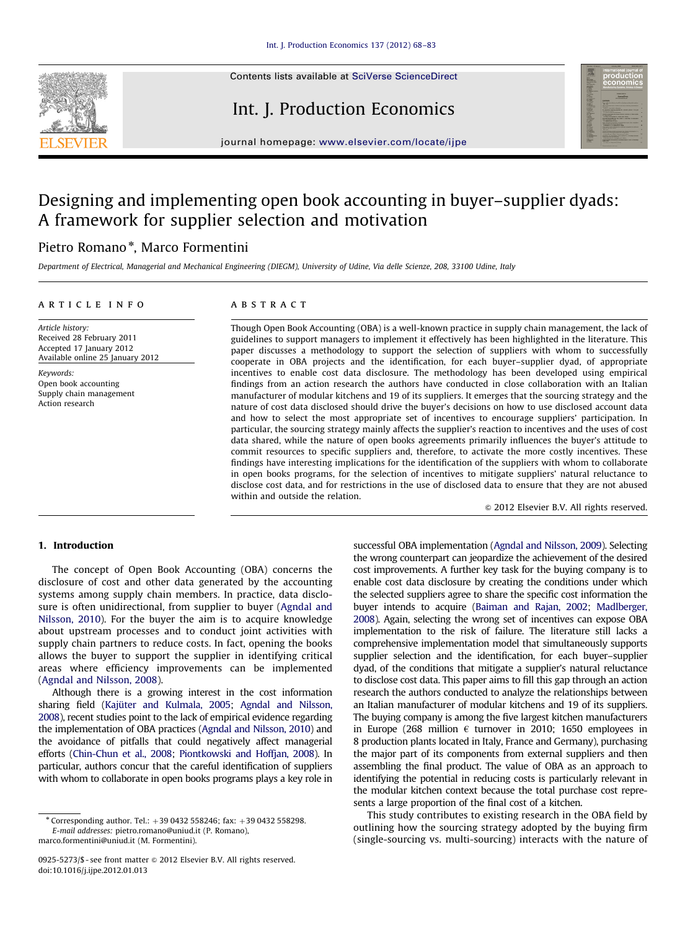

Contents lists available at [SciVerse ScienceDirect](www.elsevier.com/locate/ijpe)

# Int. J. Production Economics



journal homepage: <www.elsevier.com/locate/ijpe>

# Designing and implementing open book accounting in buyer–supplier dyads: A framework for supplier selection and motivation

## Pietro Romano<sup>\*</sup>, Marco Formentini

Department of Electrical, Managerial and Mechanical Engineering (DIEGM), University of Udine, Via delle Scienze, 208, 33100 Udine, Italy

### article info

## **ABSTRACT**

Article history: Received 28 February 2011 Accepted 17 January 2012 Available online 25 January 2012

Keywords: Open book accounting Supply chain management Action research

Though Open Book Accounting (OBA) is a well-known practice in supply chain management, the lack of guidelines to support managers to implement it effectively has been highlighted in the literature. This paper discusses a methodology to support the selection of suppliers with whom to successfully cooperate in OBA projects and the identification, for each buyer–supplier dyad, of appropriate incentives to enable cost data disclosure. The methodology has been developed using empirical findings from an action research the authors have conducted in close collaboration with an Italian manufacturer of modular kitchens and 19 of its suppliers. It emerges that the sourcing strategy and the nature of cost data disclosed should drive the buyer's decisions on how to use disclosed account data and how to select the most appropriate set of incentives to encourage suppliers' participation. In particular, the sourcing strategy mainly affects the supplier's reaction to incentives and the uses of cost data shared, while the nature of open books agreements primarily influences the buyer's attitude to commit resources to specific suppliers and, therefore, to activate the more costly incentives. These findings have interesting implications for the identification of the suppliers with whom to collaborate in open books programs, for the selection of incentives to mitigate suppliers' natural reluctance to disclose cost data, and for restrictions in the use of disclosed data to ensure that they are not abused within and outside the relation.

 $@$  2012 Elsevier B.V. All rights reserved.

## 1. Introduction

The concept of Open Book Accounting (OBA) concerns the disclosure of cost and other data generated by the accounting systems among supply chain members. In practice, data disclosure is often unidirectional, from supplier to buyer ([Agndal and](#page--1-0) [Nilsson, 2010\)](#page--1-0). For the buyer the aim is to acquire knowledge about upstream processes and to conduct joint activities with supply chain partners to reduce costs. In fact, opening the books allows the buyer to support the supplier in identifying critical areas where efficiency improvements can be implemented ([Agndal and Nilsson, 2008](#page--1-0)).

Although there is a growing interest in the cost information sharing field (Kajüter and Kulmala, 2005; [Agndal and Nilsson,](#page--1-0) [2008\)](#page--1-0), recent studies point to the lack of empirical evidence regarding the implementation of OBA practices [\(Agndal and Nilsson, 2010\)](#page--1-0) and the avoidance of pitfalls that could negatively affect managerial efforts [\(Chin-Chun et al., 2008;](#page--1-0) [Piontkowski and Hoffjan, 2008](#page--1-0)). In particular, authors concur that the careful identification of suppliers with whom to collaborate in open books programs plays a key role in successful OBA implementation [\(Agndal and Nilsson, 2009](#page--1-0)). Selecting the wrong counterpart can jeopardize the achievement of the desired cost improvements. A further key task for the buying company is to enable cost data disclosure by creating the conditions under which the selected suppliers agree to share the specific cost information the buyer intends to acquire [\(Baiman and Rajan, 2002;](#page--1-0) [Madlberger,](#page--1-0) [2008\)](#page--1-0). Again, selecting the wrong set of incentives can expose OBA implementation to the risk of failure. The literature still lacks a comprehensive implementation model that simultaneously supports supplier selection and the identification, for each buyer–supplier dyad, of the conditions that mitigate a supplier's natural reluctance to disclose cost data. This paper aims to fill this gap through an action research the authors conducted to analyze the relationships between an Italian manufacturer of modular kitchens and 19 of its suppliers. The buying company is among the five largest kitchen manufacturers in Europe (268 million  $\epsilon$  turnover in 2010; 1650 employees in 8 production plants located in Italy, France and Germany), purchasing the major part of its components from external suppliers and then assembling the final product. The value of OBA as an approach to identifying the potential in reducing costs is particularly relevant in the modular kitchen context because the total purchase cost represents a large proportion of the final cost of a kitchen.

This study contributes to existing research in the OBA field by outlining how the sourcing strategy adopted by the buying firm (single-sourcing vs. multi-sourcing) interacts with the nature of

 $*$  Corresponding author. Tel.:  $+390432558246$ ; fax:  $+390432558298$ . E-mail addresses: [pietro.romano@uniud.it \(P. Romano\)](mailto:pietro.romano@uniud.it), [marco.formentini@uniud.it \(M. Formentini\)](mailto:marco.formentini@uniud.it).

<sup>0925-5273/\$ -</sup> see front matter @ 2012 Elsevier B.V. All rights reserved. doi:[10.1016/j.ijpe.2012.01.013](dx.doi.org/10.1016/j.ijpe.2012.01.013)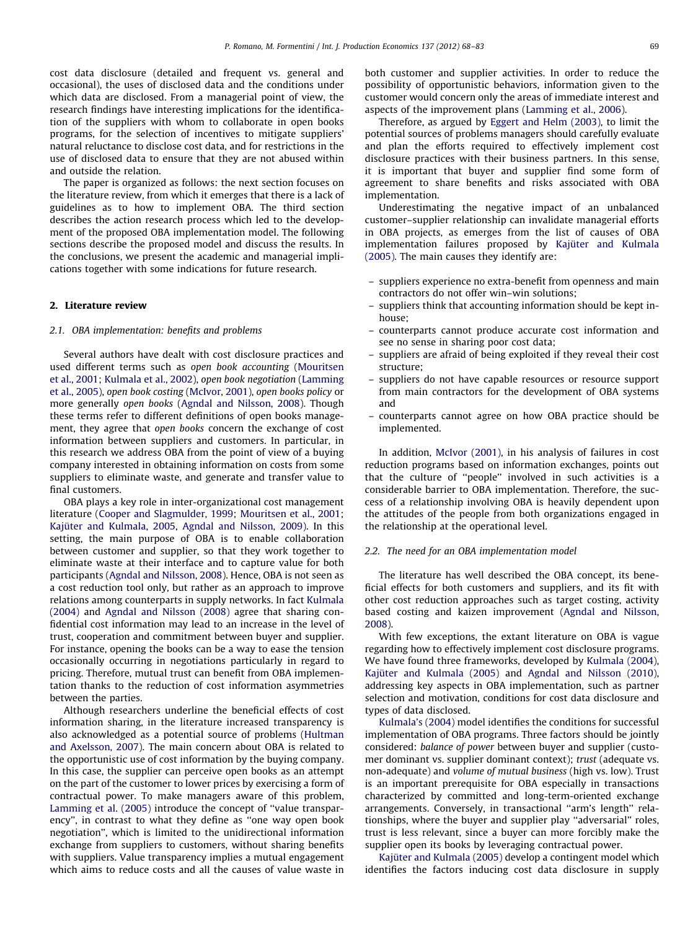cost data disclosure (detailed and frequent vs. general and occasional), the uses of disclosed data and the conditions under which data are disclosed. From a managerial point of view, the research findings have interesting implications for the identification of the suppliers with whom to collaborate in open books programs, for the selection of incentives to mitigate suppliers' natural reluctance to disclose cost data, and for restrictions in the use of disclosed data to ensure that they are not abused within and outside the relation.

The paper is organized as follows: the next section focuses on the literature review, from which it emerges that there is a lack of guidelines as to how to implement OBA. The third section describes the action research process which led to the development of the proposed OBA implementation model. The following sections describe the proposed model and discuss the results. In the conclusions, we present the academic and managerial implications together with some indications for future research.

### 2. Literature review

#### 2.1. OBA implementation: benefits and problems

Several authors have dealt with cost disclosure practices and used different terms such as open book accounting [\(Mouritsen](#page--1-0) [et al., 2001](#page--1-0); [Kulmala et al., 2002\)](#page--1-0), open book negotiation ([Lamming](#page--1-0) [et al., 2005](#page--1-0)), open book costing ([McIvor, 2001\)](#page--1-0), open books policy or more generally open books ([Agndal and Nilsson, 2008](#page--1-0)). Though these terms refer to different definitions of open books management, they agree that open books concern the exchange of cost information between suppliers and customers. In particular, in this research we address OBA from the point of view of a buying company interested in obtaining information on costs from some suppliers to eliminate waste, and generate and transfer value to final customers.

OBA plays a key role in inter-organizational cost management literature [\(Cooper and Slagmulder, 1999](#page--1-0); [Mouritsen et al., 2001;](#page--1-0) Kajüter and Kulmala, 2005, [Agndal and Nilsson, 2009](#page--1-0)). In this setting, the main purpose of OBA is to enable collaboration between customer and supplier, so that they work together to eliminate waste at their interface and to capture value for both participants [\(Agndal and Nilsson, 2008\)](#page--1-0). Hence, OBA is not seen as a cost reduction tool only, but rather as an approach to improve relations among counterparts in supply networks. In fact [Kulmala](#page--1-0) [\(2004\)](#page--1-0) and [Agndal and Nilsson \(2008\)](#page--1-0) agree that sharing confidential cost information may lead to an increase in the level of trust, cooperation and commitment between buyer and supplier. For instance, opening the books can be a way to ease the tension occasionally occurring in negotiations particularly in regard to pricing. Therefore, mutual trust can benefit from OBA implementation thanks to the reduction of cost information asymmetries between the parties.

Although researchers underline the beneficial effects of cost information sharing, in the literature increased transparency is also acknowledged as a potential source of problems ([Hultman](#page--1-0) [and Axelsson, 2007](#page--1-0)). The main concern about OBA is related to the opportunistic use of cost information by the buying company. In this case, the supplier can perceive open books as an attempt on the part of the customer to lower prices by exercising a form of contractual power. To make managers aware of this problem, [Lamming et al. \(2005\)](#page--1-0) introduce the concept of ''value transparency'', in contrast to what they define as ''one way open book negotiation'', which is limited to the unidirectional information exchange from suppliers to customers, without sharing benefits with suppliers. Value transparency implies a mutual engagement which aims to reduce costs and all the causes of value waste in

both customer and supplier activities. In order to reduce the possibility of opportunistic behaviors, information given to the customer would concern only the areas of immediate interest and aspects of the improvement plans ([Lamming et al., 2006](#page--1-0)).

Therefore, as argued by [Eggert and Helm \(2003\),](#page--1-0) to limit the potential sources of problems managers should carefully evaluate and plan the efforts required to effectively implement cost disclosure practices with their business partners. In this sense, it is important that buyer and supplier find some form of agreement to share benefits and risks associated with OBA implementation.

Underestimating the negative impact of an unbalanced customer–supplier relationship can invalidate managerial efforts in OBA projects, as emerges from the list of causes of OBA implementation failures proposed by Kajüter and Kulmala [\(2005\).](#page--1-0) The main causes they identify are:

- suppliers experience no extra-benefit from openness and main contractors do not offer win–win solutions;
- suppliers think that accounting information should be kept inhouse;
- counterparts cannot produce accurate cost information and see no sense in sharing poor cost data;
- suppliers are afraid of being exploited if they reveal their cost structure;
- suppliers do not have capable resources or resource support from main contractors for the development of OBA systems and
- counterparts cannot agree on how OBA practice should be implemented.

In addition, [McIvor \(2001\),](#page--1-0) in his analysis of failures in cost reduction programs based on information exchanges, points out that the culture of ''people'' involved in such activities is a considerable barrier to OBA implementation. Therefore, the success of a relationship involving OBA is heavily dependent upon the attitudes of the people from both organizations engaged in the relationship at the operational level.

#### 2.2. The need for an OBA implementation model

The literature has well described the OBA concept, its beneficial effects for both customers and suppliers, and its fit with other cost reduction approaches such as target costing, activity based costing and kaizen improvement [\(Agndal and Nilsson,](#page--1-0) [2008\)](#page--1-0).

With few exceptions, the extant literature on OBA is vague regarding how to effectively implement cost disclosure programs. We have found three frameworks, developed by [Kulmala \(2004\),](#page--1-0) Kajüter and Kulmala (2005) and [Agndal and Nilsson \(2010\),](#page--1-0) addressing key aspects in OBA implementation, such as partner selection and motivation, conditions for cost data disclosure and types of data disclosed.

[Kulmala's \(2004\)](#page--1-0) model identifies the conditions for successful implementation of OBA programs. Three factors should be jointly considered: balance of power between buyer and supplier (customer dominant vs. supplier dominant context); trust (adequate vs. non-adequate) and volume of mutual business (high vs. low). Trust is an important prerequisite for OBA especially in transactions characterized by committed and long-term-oriented exchange arrangements. Conversely, in transactional ''arm's length'' relationships, where the buyer and supplier play ''adversarial'' roles, trust is less relevant, since a buyer can more forcibly make the supplier open its books by leveraging contractual power.

Kajüter and Kulmala (2005) develop a contingent model which identifies the factors inducing cost data disclosure in supply